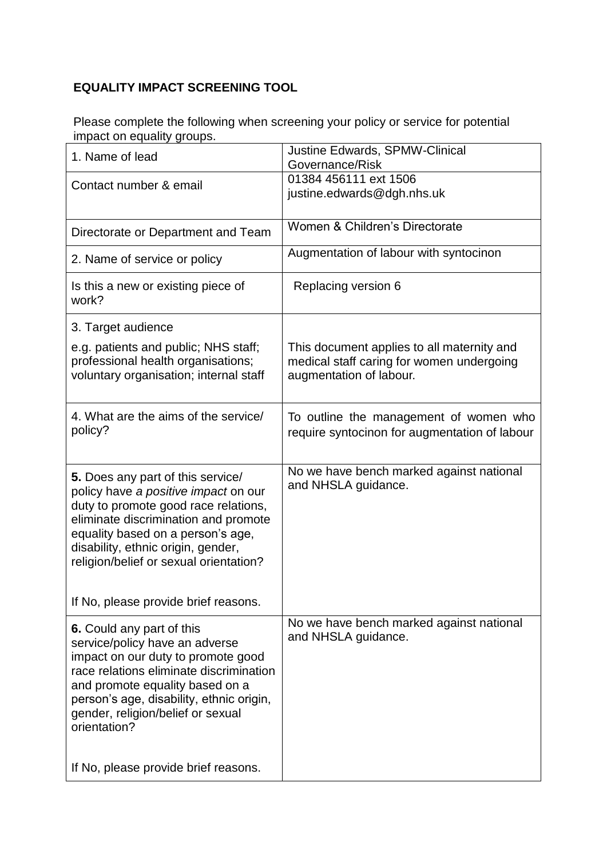## **EQUALITY IMPACT SCREENING TOOL**

Please complete the following when screening your policy or service for potential impact on equality groups.

| 01384 456111 ext 1506<br>justine.edwards@dgh.nhs.uk                                                                |
|--------------------------------------------------------------------------------------------------------------------|
| Women & Children's Directorate                                                                                     |
| Augmentation of labour with syntocinon                                                                             |
| Replacing version 6                                                                                                |
| This document applies to all maternity and<br>medical staff caring for women undergoing<br>augmentation of labour. |
| To outline the management of women who<br>require syntocinon for augmentation of labour                            |
| No we have bench marked against national<br>and NHSLA guidance.                                                    |
|                                                                                                                    |
| No we have bench marked against national<br>and NHSLA guidance.                                                    |
|                                                                                                                    |